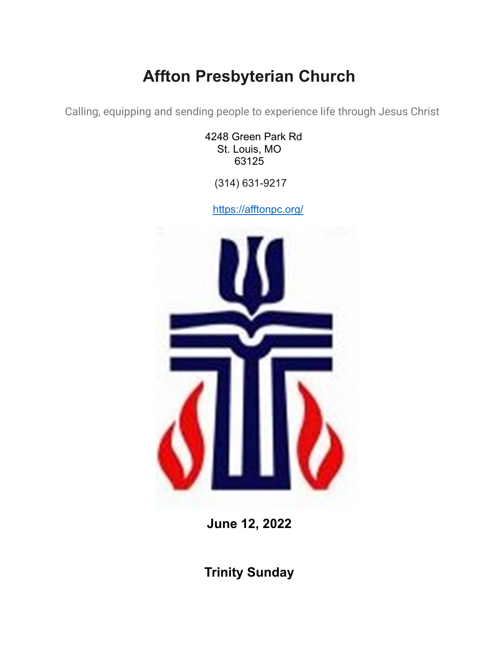# **Affton Presbyterian Church**

Calling, equipping and sending people to experience life through Jesus Christ

4248 Green Park Rd St. Louis, MO 63125

(314) 631-9217

<https://afftonpc.org/>



**June 12, 2022**

**Trinity Sunday**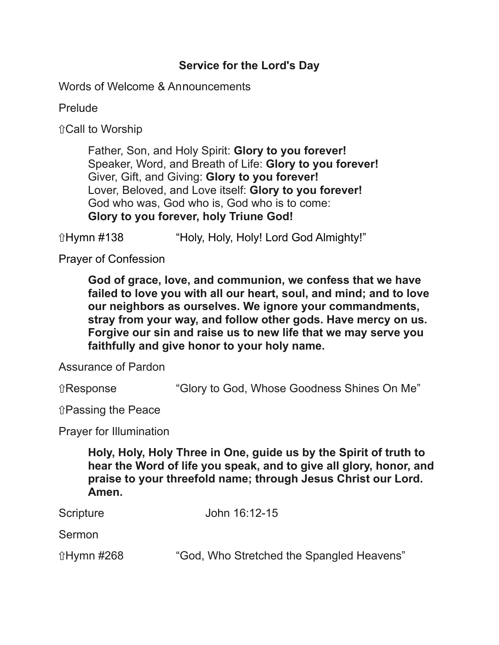## **Service for the Lord's Day**

Words of Welcome & Announcements

Prelude

⇧Call to Worship

Father, Son, and Holy Spirit: **Glory to you forever!** Speaker, Word, and Breath of Life: **Glory to you forever!** Giver, Gift, and Giving: **Glory to you forever!** Lover, Beloved, and Love itself: **Glory to you forever!** God who was, God who is, God who is to come: **Glory to you forever, holy Triune God!**

ûHymn #138 "Holy, Holy, Holy! Lord God Almighty!"

Prayer of Confession

**God of grace, love, and communion, we confess that we have failed to love you with all our heart, soul, and mind; and to love our neighbors as ourselves. We ignore your commandments, stray from your way, and follow other gods. Have mercy on us. Forgive our sin and raise us to new life that we may serve you faithfully and give honor to your holy name.**

Assurance of Pardon

⇧Response "Glory to God, Whose Goodness Shines On Me"

⇧Passing the Peace

Prayer for Illumination

**Holy, Holy, Holy Three in One, guide us by the Spirit of truth to hear the Word of life you speak, and to give all glory, honor, and praise to your threefold name; through Jesus Christ our Lord. Amen.**

| Scripture  | John 16:12-15                             |
|------------|-------------------------------------------|
| Sermon     |                                           |
| ûHymn #268 | "God, Who Stretched the Spangled Heavens" |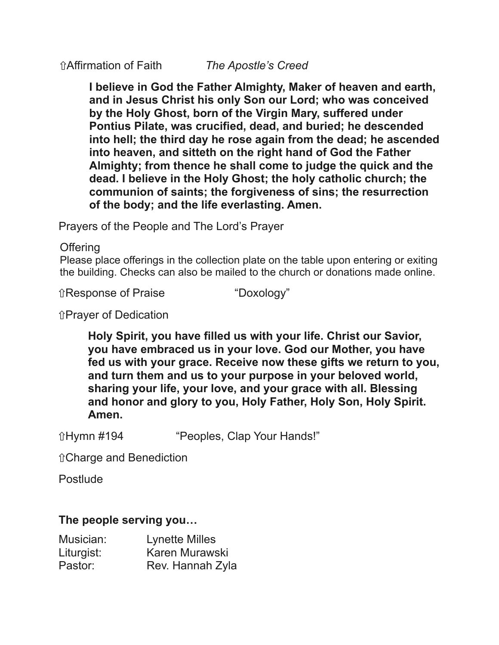**I believe in God the Father Almighty, Maker of heaven and earth, and in Jesus Christ his only Son our Lord; who was conceived by the Holy Ghost, born of the Virgin Mary, suffered under Pontius Pilate, was crucified, dead, and buried; he descended into hell; the third day he rose again from the dead; he ascended into heaven, and sitteth on the right hand of God the Father Almighty; from thence he shall come to judge the quick and the dead. I believe in the Holy Ghost; the holy catholic church; the communion of saints; the forgiveness of sins; the resurrection of the body; and the life everlasting. Amen.**

Prayers of the People and The Lord's Prayer

**Offering** 

Please place offerings in the collection plate on the table upon entering or exiting the building. Checks can also be mailed to the church or donations made online.

⇧Response of Praise "Doxology"

⇧Prayer of Dedication

**Holy Spirit, you have filled us with your life. Christ our Savior, you have embraced us in your love. God our Mother, you have fed us with your grace. Receive now these gifts we return to you, and turn them and us to your purpose in your beloved world, sharing your life, your love, and your grace with all. Blessing and honor and glory to you, Holy Father, Holy Son, Holy Spirit. Amen.**

⇧Hymn #194 "Peoples, Clap Your Hands!"

⇧Charge and Benediction

Postlude

#### **The people serving you…**

| Musician:  | <b>Lynette Milles</b> |
|------------|-----------------------|
| Liturgist: | Karen Murawski        |
| Pastor:    | Rev. Hannah Zyla      |